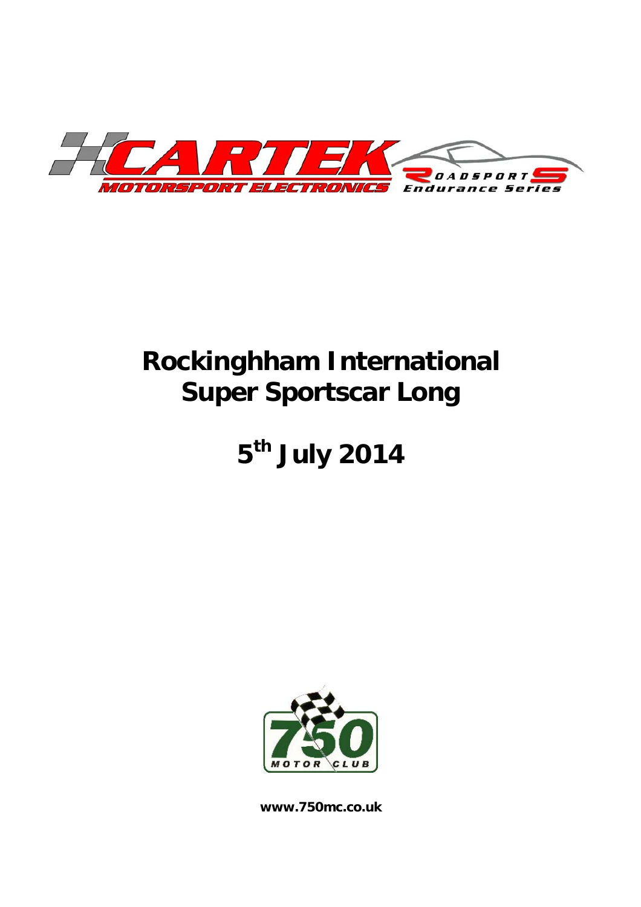

# **Rockinghham International Super Sportscar Long**

# **5th July 2014**



**www.750mc.co.uk**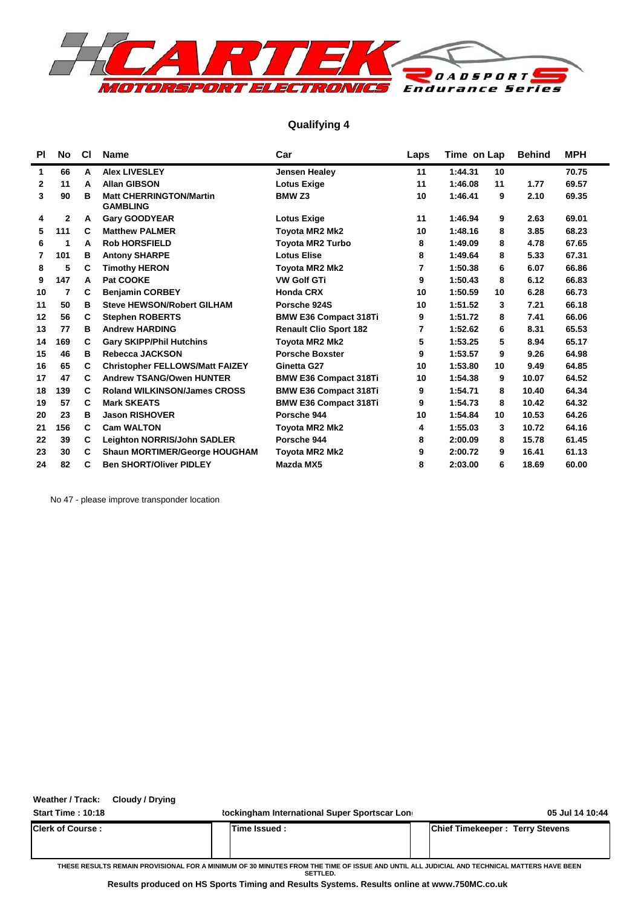

### **Qualifying 4**

| <b>PI</b>    | No  | <b>CI</b> | <b>Name</b>                                       | Car                           | Laps | Time on Lap |    | <b>Behind</b> | MPH   |  |
|--------------|-----|-----------|---------------------------------------------------|-------------------------------|------|-------------|----|---------------|-------|--|
| 1            | 66  | A         | <b>Alex LIVESLEY</b>                              | <b>Jensen Healey</b>          | 11   | 1:44.31     | 10 |               | 70.75 |  |
| $\mathbf{2}$ | 11  | A         | <b>Allan GIBSON</b>                               | <b>Lotus Exige</b>            | 11   | 1:46.08     | 11 | 1.77          | 69.57 |  |
| 3            | 90  | в         | <b>Matt CHERRINGTON/Martin</b><br><b>GAMBLING</b> | <b>BMW Z3</b>                 | 10   | 1:46.41     | 9  | 2.10          | 69.35 |  |
| 4            | 2   | A         | <b>Gary GOODYEAR</b>                              | <b>Lotus Exige</b>            | 11   | 1:46.94     | 9  | 2.63          | 69.01 |  |
| 5            | 111 | C         | <b>Matthew PALMER</b>                             | <b>Toyota MR2 Mk2</b>         | 10   | 1:48.16     | 8  | 3.85          | 68.23 |  |
| 6            | 1   | A         | <b>Rob HORSFIELD</b>                              | <b>Toyota MR2 Turbo</b>       | 8    | 1:49.09     | 8  | 4.78          | 67.65 |  |
| 7            | 101 | в         | <b>Antony SHARPE</b>                              | <b>Lotus Elise</b>            | 8    | 1:49.64     | 8  | 5.33          | 67.31 |  |
| 8            | 5   | C         | <b>Timothy HERON</b>                              | Toyota MR2 Mk2                | 7    | 1:50.38     | 6  | 6.07          | 66.86 |  |
| 9            | 147 | A         | Pat COOKE                                         | <b>VW Golf GTi</b>            | 9    | 1:50.43     | 8  | 6.12          | 66.83 |  |
| 10           | 7   | C         | <b>Benjamin CORBEY</b>                            | <b>Honda CRX</b>              | 10   | 1:50.59     | 10 | 6.28          | 66.73 |  |
| 11           | 50  | в         | <b>Steve HEWSON/Robert GILHAM</b>                 | Porsche 924S                  | 10   | 1:51.52     | 3  | 7.21          | 66.18 |  |
| 12           | 56  | C         | <b>Stephen ROBERTS</b>                            | <b>BMW E36 Compact 318Ti</b>  | 9    | 1:51.72     | 8  | 7.41          | 66.06 |  |
| 13           | 77  | в         | <b>Andrew HARDING</b>                             | <b>Renault Clio Sport 182</b> | 7    | 1:52.62     | 6  | 8.31          | 65.53 |  |
| 14           | 169 | C         | <b>Gary SKIPP/Phil Hutchins</b>                   | <b>Toyota MR2 Mk2</b>         | 5    | 1:53.25     | 5  | 8.94          | 65.17 |  |
| 15           | 46  | в         | Rebecca JACKSON                                   | <b>Porsche Boxster</b>        | 9    | 1:53.57     | 9  | 9.26          | 64.98 |  |
| 16           | 65  | C         | <b>Christopher FELLOWS/Matt FAIZEY</b>            | Ginetta G27                   | 10   | 1:53.80     | 10 | 9.49          | 64.85 |  |
| 17           | 47  | C         | <b>Andrew TSANG/Owen HUNTER</b>                   | <b>BMW E36 Compact 318Ti</b>  | 10   | 1:54.38     | 9  | 10.07         | 64.52 |  |
| 18           | 139 | C         | <b>Roland WILKINSON/James CROSS</b>               | <b>BMW E36 Compact 318Ti</b>  | 9    | 1:54.71     | 8  | 10.40         | 64.34 |  |
| 19           | 57  | C         | <b>Mark SKEATS</b>                                | <b>BMW E36 Compact 318Ti</b>  | 9    | 1:54.73     | 8  | 10.42         | 64.32 |  |
| 20           | 23  | в         | <b>Jason RISHOVER</b>                             | Porsche 944                   | 10   | 1:54.84     | 10 | 10.53         | 64.26 |  |
| 21           | 156 | C         | <b>Cam WALTON</b>                                 | <b>Toyota MR2 Mk2</b>         | 4    | 1:55.03     | 3  | 10.72         | 64.16 |  |
| 22           | 39  | C         | <b>Leighton NORRIS/John SADLER</b>                | Porsche 944                   | 8    | 2:00.09     | 8  | 15.78         | 61.45 |  |
| 23           | 30  | C         | <b>Shaun MORTIMER/George HOUGHAM</b>              | <b>Toyota MR2 Mk2</b>         | 9    | 2:00.72     | 9  | 16.41         | 61.13 |  |
| 24           | 82  | C         | <b>Ben SHORT/Oliver PIDLEY</b>                    | Mazda MX5                     | 8    | 2:03.00     | 6  | 18.69         | 60.00 |  |

No 47 - please improve transponder location

**Weather / Track: Cloudy / Drying**

**Start Time : 10:18 Rockingham International Super Sportscar Long 05 Jul 14 10:44 Clerk of Course : Time Issued : Chief Timekeeper : Terry Stevens THESE RESULTS REMAIN PROVISIONAL FOR A MINIMUM OF 30 MINUTES FROM THE TIME OF ISSUE AND UNTIL ALL JUDICIAL AND TECHNICAL MATTERS HAVE BEEN SETTLED.**

**Results produced on HS Sports Timing and Results Systems. Results online at www.750MC.co.uk**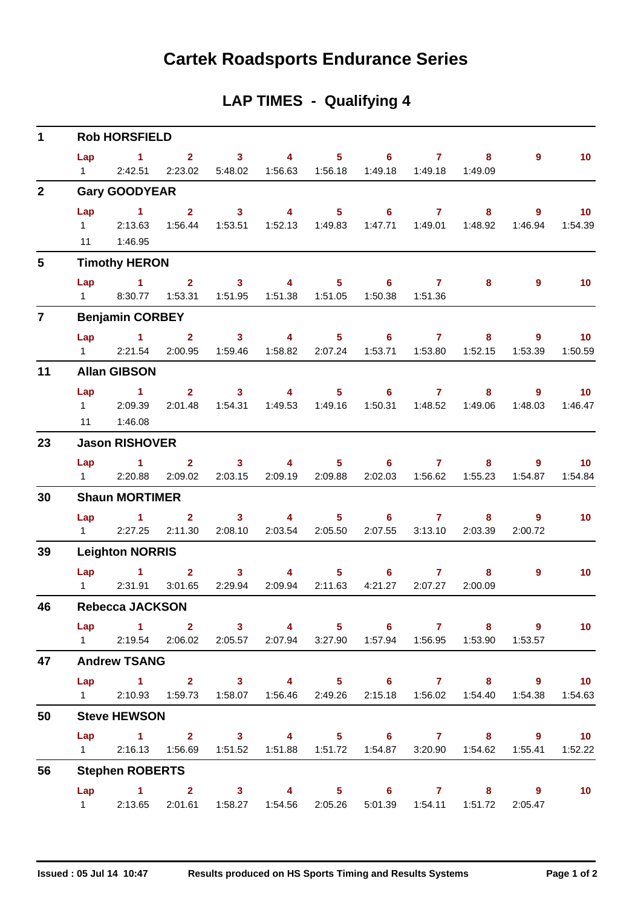## **Cartek Roadsports Endurance Series**

## **LAP TIMES - Qualifying 4**

| $\mathbf 1$    | <b>Rob HORSFIELD</b><br>$1 \qquad 2 \qquad 3 \qquad 4 \qquad 5 \qquad 6 \qquad 7$ |                                                                                                                        |                           |                           |                                                                        |                                              |                                 |                         |                                             |                                     |                                        |  |  |  |
|----------------|-----------------------------------------------------------------------------------|------------------------------------------------------------------------------------------------------------------------|---------------------------|---------------------------|------------------------------------------------------------------------|----------------------------------------------|---------------------------------|-------------------------|---------------------------------------------|-------------------------------------|----------------------------------------|--|--|--|
|                | Lap<br>$1 \quad \Box$                                                             | 2:42.51                                                                                                                | 2:23.02                   |                           | 5:48.02  1:56.63  1:56.18                                              |                                              |                                 | 1:49.18  1:49.18        | $\overline{\mathbf{8}}$<br>1:49.09          | 9                                   | 10 <sub>1</sub>                        |  |  |  |
| $\overline{2}$ |                                                                                   | <b>Gary GOODYEAR</b>                                                                                                   |                           |                           |                                                                        |                                              |                                 |                         |                                             |                                     |                                        |  |  |  |
|                | Lap                                                                               | $\sim$ 1<br>1 2:13.63<br>11  1:46.95                                                                                   | $2^{\circ}$               | $\overline{\mathbf{3}}$   | 1:56.44  1:53.51  1:52.13  1:49.83                                     |                                              | 4 5 6 7                         |                         | 8 <sub>1</sub><br>1:47.71  1:49.01  1:48.92 | $9^{\circ}$<br>1:46.94              | $\overline{10}$<br>1:54.39             |  |  |  |
| 5              |                                                                                   | <b>Timothy HERON</b>                                                                                                   |                           |                           |                                                                        |                                              |                                 |                         |                                             |                                     |                                        |  |  |  |
|                |                                                                                   | Lap 1 2 3 4<br>1 8:30.77  1:53.31  1:51.95  1:51.38  1:51.05                                                           |                           |                           |                                                                        |                                              | $5 \t\t 6 \t\t 7$               | 1:50.38  1:51.36        | 8                                           | $\overline{9}$                      | 10                                     |  |  |  |
| $\overline{7}$ |                                                                                   | <b>Benjamin CORBEY</b>                                                                                                 |                           |                           |                                                                        |                                              |                                 |                         |                                             |                                     |                                        |  |  |  |
|                | $1 \quad \Box$                                                                    | Lap $1$ 2<br>2:21.54                                                                                                   |                           | $\overline{\mathbf{3}}$   | $\overline{4}$<br>2:00.95  1:59.46  1:58.82  2:07.24  1:53.71  1:53.80 |                                              | $5 \t\t 6 \t\t 7$               |                         | $8 -$<br>1:52.15                            | $\overline{\phantom{a}}$<br>1:53.39 | $\blacksquare$ 10<br>1:50.59           |  |  |  |
| 11             |                                                                                   | <b>Allan GIBSON</b>                                                                                                    |                           |                           |                                                                        |                                              |                                 |                         |                                             |                                     |                                        |  |  |  |
|                |                                                                                   | Lap 1<br>1 2:09.39<br>11  1:46.08                                                                                      | $2^{\circ}$               | $\overline{\mathbf{3}}$   | 2:01.48  1:54.31  1:49.53  1:49.16                                     |                                              | 4 5 6 7                         |                         | $8 -$<br>1:49.06                            | $\overline{9}$<br>1:48.03           | $\overline{\phantom{0}}$ 10<br>1:46.47 |  |  |  |
| 23             |                                                                                   | <b>Jason RISHOVER</b>                                                                                                  |                           |                           |                                                                        |                                              |                                 |                         |                                             |                                     |                                        |  |  |  |
|                |                                                                                   | Lap 1<br>1 2:20.88                                                                                                     | 2:09.02                   | 2:03.15                   | $2 \qquad 3 \qquad 4 \qquad 5 \qquad 6 \qquad 7$<br>2:09.19            | 2:09.88                                      |                                 | 2:02.03  1:56.62        | 8<br>1:55.23                                | 9<br>1:54.87                        | $\blacksquare$ 10<br>1:54.84           |  |  |  |
| 30             |                                                                                   | <b>Shaun MORTIMER</b>                                                                                                  |                           |                           |                                                                        |                                              |                                 |                         |                                             |                                     |                                        |  |  |  |
|                | $1 \quad \blacksquare$                                                            | $Lap$ 1<br>2:27.25                                                                                                     | 2 <sup>7</sup><br>2:11.30 | 3 <sup>7</sup><br>2:08.10 | 2:03.54                                                                | $\overline{4}$ and $\overline{4}$<br>2:05.50 | $5^{\circ}$<br>$6 -$<br>2:07.55 | $\mathbf{7}$<br>3:13.10 | 8<br>2:03.39                                | $9^{\circ}$<br>2:00.72              | 10 <sub>1</sub>                        |  |  |  |
| 39             |                                                                                   | <b>Leighton NORRIS</b>                                                                                                 |                           |                           |                                                                        |                                              |                                 |                         |                                             |                                     |                                        |  |  |  |
|                |                                                                                   | Lap 1<br>1 2:31.91                                                                                                     | $2^{\circ}$<br>3:01.65    | 3 <sup>7</sup><br>2:29.94 | $\overline{4}$<br>2:09.94                                              | $5 -$<br>2:11.63                             | $6 -$<br>4:21.27                | $\mathbf{7}$<br>2:07.27 | 8<br>2:00.09                                | $9^{\circ}$                         | 10 <sub>1</sub>                        |  |  |  |
| 46             |                                                                                   | <b>Rebecca JACKSON</b>                                                                                                 |                           |                           |                                                                        |                                              |                                 |                         |                                             |                                     |                                        |  |  |  |
|                |                                                                                   | Lap 1 2 3 4 5 6 7 8 9<br>1   2:19.54   2:06.02   2:05.57   2:07.94   3:27.90   1:57.94   1:56.95   1:53.90   1:53.57   |                           |                           |                                                                        |                                              |                                 |                         |                                             |                                     | 10 <sub>1</sub>                        |  |  |  |
| 47             |                                                                                   | <b>Andrew TSANG</b>                                                                                                    |                           |                           |                                                                        |                                              |                                 |                         |                                             |                                     |                                        |  |  |  |
|                |                                                                                   | Lap 1 2 3 4 5 6 7 8 9 10<br>1 2:10.93 1:59.73 1:58.07 1:56.46 2:49.26 2:15.18 1:56.02 1:54.40 1:54.38 1:54.63          |                           |                           |                                                                        |                                              |                                 |                         |                                             |                                     |                                        |  |  |  |
| 50             |                                                                                   | <b>Steve HEWSON</b>                                                                                                    |                           |                           |                                                                        |                                              |                                 |                         |                                             |                                     |                                        |  |  |  |
|                |                                                                                   | Lap 1 2 3 4 5 6 7 8 9 10<br>1 2:16.13  1:56.69  1:51.52  1:51.88  1:51.72  1:54.87  3:20.90  1:54.62  1:55.41  1:52.22 |                           |                           |                                                                        |                                              |                                 |                         |                                             |                                     |                                        |  |  |  |
| 56             |                                                                                   | <b>Stephen ROBERTS</b>                                                                                                 |                           |                           |                                                                        |                                              |                                 |                         |                                             |                                     |                                        |  |  |  |
|                | $1 \quad \Box$                                                                    | Lap 1 2 3 4 5 6 7 8 9                                                                                                  |                           |                           | 2:13.65  2:01.61  1:58.27  1:54.56  2:05.26  5:01.39  1:54.11  1:51.72 |                                              |                                 |                         |                                             | 2:05.47                             | 10                                     |  |  |  |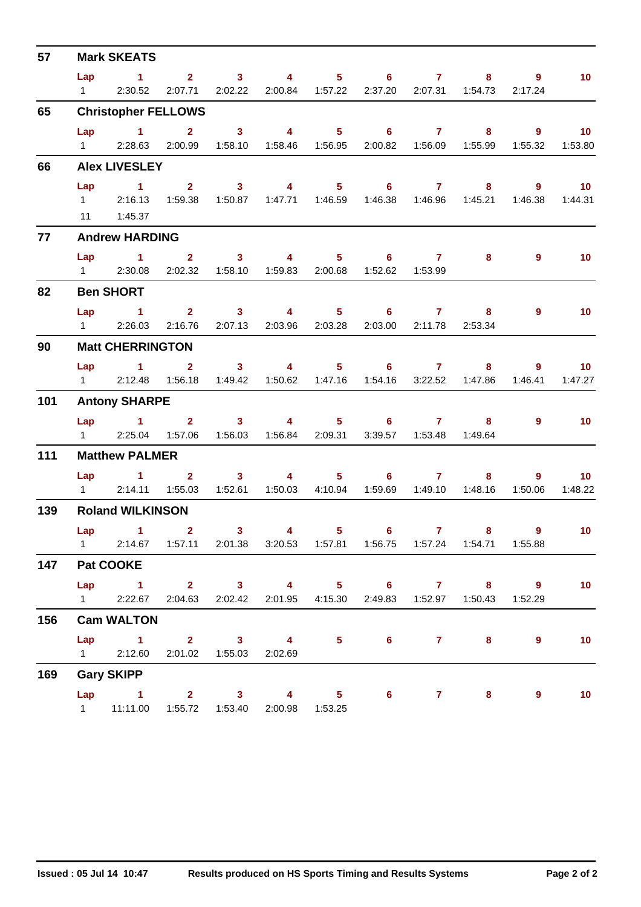| 57  |                        | <b>Mark SKEATS</b>                                                                 |                                              |                                 |                  |                                                           |                           |                            |                   |
|-----|------------------------|------------------------------------------------------------------------------------|----------------------------------------------|---------------------------------|------------------|-----------------------------------------------------------|---------------------------|----------------------------|-------------------|
|     | Lap                    | $\sim$ 1                                                                           |                                              |                                 |                  | $2 \qquad 3 \qquad 4 \qquad 5 \qquad 6 \qquad 7$          |                           | $8 - 1$<br>9               | 10 <sub>1</sub>   |
|     | $1 \quad \Box$         | 2:30.52                                                                            |                                              | 2:07.71 2:02.22 2:00.84 1:57.22 |                  |                                                           | 2:37.20 2:07.31 1:54.73   | 2:17.24                    |                   |
| 65  |                        | <b>Christopher FELLOWS</b>                                                         |                                              |                                 |                  |                                                           |                           |                            |                   |
|     | Lap                    | $\overline{1}$ $\overline{2}$                                                      |                                              | $\overline{\mathbf{3}}$         |                  | 4 5 6 7                                                   | $\overline{\mathbf{8}}$   | $\overline{\phantom{a}}$ 9 | $\blacksquare$ 10 |
|     | $1 \quad \Box$         | 2:28.63                                                                            | 2:00.99                                      | 1:58.10                         | 1:58.46  1:56.95 |                                                           | 2:00.82  1:56.09  1:55.99 | 1:55.32                    | 1:53.80           |
| 66  |                        | <b>Alex LIVESLEY</b>                                                               |                                              |                                 |                  |                                                           |                           |                            |                   |
|     | Lap                    | $\sim$ $\sim$ $\sim$ $\sim$ $\sim$ $\sim$                                          |                                              |                                 |                  | $2 \qquad 3 \qquad 4 \qquad 5 \qquad 6 \qquad 7$          | $8 -$                     |                            | $9 \t 10$         |
|     |                        | 1 2:16.13 1:59.38 1:50.87 1:47.71 1:46.59 1:46.38 1:46.96 1:45.21                  |                                              |                                 |                  |                                                           |                           |                            | 1:46.38  1:44.31  |
|     |                        | 11   1:45.37                                                                       |                                              |                                 |                  |                                                           |                           |                            |                   |
| 77  |                        | <b>Andrew HARDING</b>                                                              |                                              |                                 |                  |                                                           |                           |                            |                   |
|     |                        | Lap 1 2 3 4 5 6 7                                                                  |                                              |                                 |                  |                                                           | 8                         | 9                          | 10                |
|     |                        | 1 2:30.08 2:02.32 1:58.10 1:59.83 2:00.68 1:52.62 1:53.99                          |                                              |                                 |                  |                                                           |                           |                            |                   |
| 82  |                        | <b>Ben SHORT</b>                                                                   |                                              |                                 |                  |                                                           |                           |                            |                   |
|     |                        | Lap 1                                                                              |                                              |                                 |                  | $2 \qquad 3 \qquad 4 \qquad 5 \qquad 6 \qquad 7 \qquad 8$ |                           | $9^{\circ}$                | 10 <sub>1</sub>   |
|     | $1 \quad \Box$         | 2:26.03                                                                            | 2:16.76                                      |                                 |                  | 2:07.13 2:03.96 2:03.28 2:03.00 2:11.78 2:53.34           |                           |                            |                   |
| 90  |                        | <b>Matt CHERRINGTON</b>                                                            |                                              |                                 |                  |                                                           |                           |                            |                   |
|     |                        | $Lap$ 1                                                                            | $\mathbf{2}$                                 |                                 |                  | $3 \qquad 4 \qquad 5 \qquad 6 \qquad 7$                   | 8                         | 9                          | 10 <sup>1</sup>   |
|     |                        | 1 2:12.48 1:56.18 1:49.42 1:50.62 1:47.16 1:54.16 3:22.52 1:47.86                  |                                              |                                 |                  |                                                           |                           | 1:46.41                    | 1:47.27           |
| 101 |                        | <b>Antony SHARPE</b>                                                               |                                              |                                 |                  |                                                           |                           |                            |                   |
|     |                        | Lap 1                                                                              |                                              | $\overline{\mathbf{2}}$         |                  | $3 \qquad 4 \qquad 5 \qquad 6 \qquad 7$                   | 8                         | $9^{\circ}$                | $\overline{10}$   |
|     |                        | 1 2:25.04 1:57.06 1:56.03 1:56.84 2:09.31 3:39.57 1:53.48 1:49.64                  |                                              |                                 |                  |                                                           |                           |                            |                   |
| 111 |                        | <b>Matthew PALMER</b>                                                              |                                              |                                 |                  |                                                           |                           |                            |                   |
|     |                        | Lap 1 2 3 4 5 6 7                                                                  |                                              |                                 |                  |                                                           | 8.                        |                            | $9 \t 10$         |
|     |                        | 1 2:14.11                                                                          | 1:55.03                                      |                                 |                  | 1:52.61  1:50.03  4:10.94  1:59.69  1:49.10               | 1:48.16                   | 1:50.06                    | 1:48.22           |
| 139 |                        | <b>Roland WILKINSON</b>                                                            |                                              |                                 |                  |                                                           |                           |                            |                   |
|     |                        | $Lap$ 1 2                                                                          |                                              |                                 |                  |                                                           |                           | 3 4 5 6 7 8 9 10           |                   |
|     |                        | 1  2:14.67  1:57.11  2:01.38  3:20.53  1:57.81  1:56.75  1:57.24  1:54.71  1:55.88 |                                              |                                 |                  |                                                           |                           |                            |                   |
| 147 |                        | Pat COOKE                                                                          |                                              |                                 |                  |                                                           |                           |                            |                   |
|     |                        | Lap 1 2 3 4 5 6 7 8 9                                                              |                                              |                                 |                  |                                                           |                           |                            | 10                |
|     |                        | 1 2:22.67                                                                          |                                              |                                 |                  | 2:04.63 2:02.42 2:01.95 4:15.30 2:49.83 1:52.97 1:50.43   |                           | 1:52.29                    |                   |
| 156 |                        | <b>Cam WALTON</b>                                                                  |                                              |                                 |                  |                                                           |                           |                            |                   |
|     |                        | Lap 1 2 3 4                                                                        |                                              |                                 |                  | $5 - 5$                                                   | $6$ $7$ $8$               | 9                          | 10 <sub>1</sub>   |
|     |                        | 1 2:12.60                                                                          |                                              | 2:01.02  1:55.03  2:02.69       |                  |                                                           |                           |                            |                   |
| 169 |                        | <b>Gary SKIPP</b>                                                                  |                                              |                                 |                  |                                                           |                           |                            |                   |
|     |                        | Lap 1 2 3 4 5                                                                      |                                              |                                 |                  |                                                           | 6 7 8                     | 9                          | 10 <sub>1</sub>   |
|     | $1 \quad \blacksquare$ |                                                                                    | 11:11.00  1:55.72  1:53.40  2:00.98  1:53.25 |                                 |                  |                                                           |                           |                            |                   |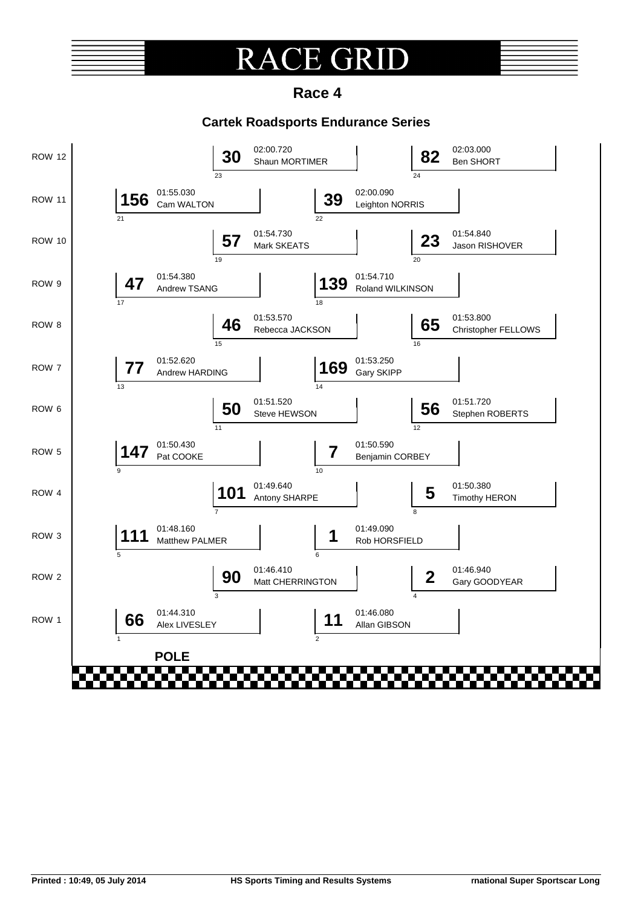### $\overline{\mathsf{R}}$ E. GRII

**Race 4**

### **Cartek Roadsports Endurance Series**

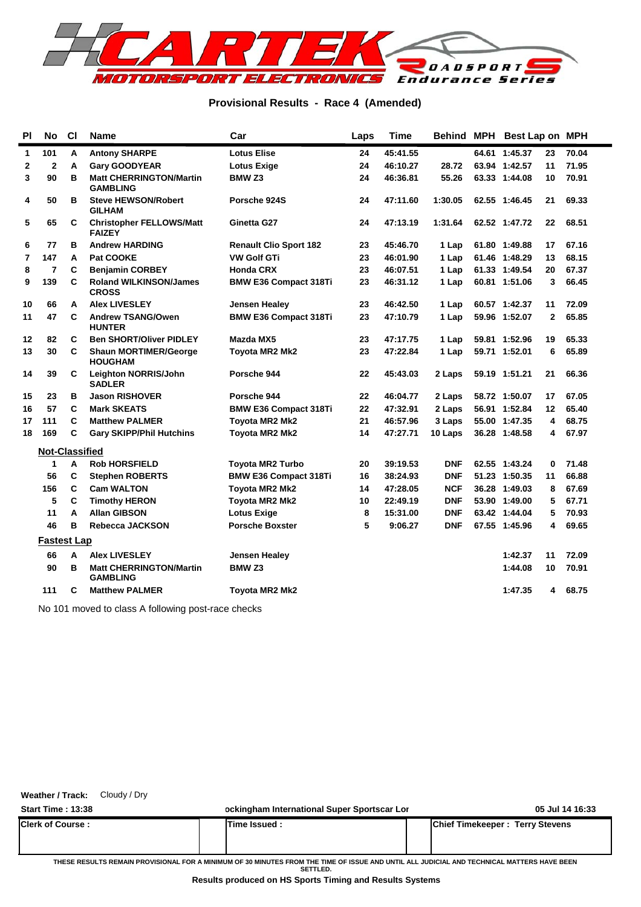

### **Provisional Results - Race 4 (Amended)**

| PI           | <b>No</b>               | <b>CI</b> | <b>Name</b>                                       | Car                           | Laps | <b>Time</b> | Behind     | <b>MPH</b> | Best Lap on MPH |              |       |
|--------------|-------------------------|-----------|---------------------------------------------------|-------------------------------|------|-------------|------------|------------|-----------------|--------------|-------|
| $\mathbf{1}$ | 101                     | A         | <b>Antony SHARPE</b>                              | <b>Lotus Elise</b>            | 24   | 45:41.55    |            |            | 64.61 1:45.37   | 23           | 70.04 |
| 2            | $\overline{\mathbf{2}}$ | A         | <b>Gary GOODYEAR</b>                              | <b>Lotus Exige</b>            | 24   | 46:10.27    | 28.72      |            | 63.94 1:42.57   | 11           | 71.95 |
| 3            | 90                      | B         | <b>Matt CHERRINGTON/Martin</b><br><b>GAMBLING</b> | BMW <sub>Z3</sub>             | 24   | 46:36.81    | 55.26      |            | 63.33 1:44.08   | 10           | 70.91 |
| 4            | 50                      | B         | <b>Steve HEWSON/Robert</b><br><b>GILHAM</b>       | Porsche 924S                  | 24   | 47:11.60    | 1:30.05    |            | 62.55 1:46.45   | 21           | 69.33 |
| 5            | 65                      | C         | <b>Christopher FELLOWS/Matt</b><br><b>FAIZEY</b>  | Ginetta G27                   | 24   | 47:13.19    | 1:31.64    |            | 62.52 1:47.72   | 22           | 68.51 |
| 6            | 77                      | в         | <b>Andrew HARDING</b>                             | <b>Renault Clio Sport 182</b> | 23   | 45:46.70    | 1 Lap      |            | 61.80 1:49.88   | 17           | 67.16 |
| 7            | 147                     | A         | Pat COOKE                                         | <b>VW Golf GTi</b>            | 23   | 46:01.90    | 1 Lap      |            | 61.46 1:48.29   | 13           | 68.15 |
| 8            | $\overline{7}$          | C         | <b>Benjamin CORBEY</b>                            | <b>Honda CRX</b>              | 23   | 46:07.51    | 1 Lap      |            | 61.33 1:49.54   | 20           | 67.37 |
| 9            | 139                     | C         | <b>Roland WILKINSON/James</b><br><b>CROSS</b>     | <b>BMW E36 Compact 318Ti</b>  | 23   | 46:31.12    | 1 Lap      |            | 60.81 1:51.06   | 3            | 66.45 |
| 10           | 66                      | A         | <b>Alex LIVESLEY</b>                              | <b>Jensen Healey</b>          | 23   | 46:42.50    | 1 Lap      |            | 60.57 1:42.37   | 11           | 72.09 |
| 11           | 47                      | C         | <b>Andrew TSANG/Owen</b><br><b>HUNTER</b>         | <b>BMW E36 Compact 318Ti</b>  | 23   | 47:10.79    | 1 Lap      |            | 59.96 1:52.07   | $\mathbf{2}$ | 65.85 |
| 12           | 82                      | C         | <b>Ben SHORT/Oliver PIDLEY</b>                    | Mazda MX5                     | 23   | 47:17.75    | 1 Lap      |            | 59.81 1:52.96   | 19           | 65.33 |
| 13           | 30                      | C         | <b>Shaun MORTIMER/George</b><br><b>HOUGHAM</b>    | Toyota MR2 Mk2                | 23   | 47:22.84    | 1 Lap      |            | 59.71 1:52.01   | 6            | 65.89 |
| 14           | 39                      | C         | Leighton NORRIS/John<br><b>SADLER</b>             | Porsche 944                   | 22   | 45:43.03    | 2 Laps     |            | 59.19 1:51.21   | 21           | 66.36 |
| 15           | 23                      | в         | <b>Jason RISHOVER</b>                             | Porsche 944                   | 22   | 46:04.77    | 2 Laps     |            | 58.72 1:50.07   | 17           | 67.05 |
| 16           | 57                      | C         | <b>Mark SKEATS</b>                                | <b>BMW E36 Compact 318Ti</b>  | 22   | 47:32.91    | 2 Laps     |            | 56.91 1:52.84   | 12           | 65.40 |
| 17           | 111                     | C         | <b>Matthew PALMER</b>                             | <b>Toyota MR2 Mk2</b>         | 21   | 46:57.96    | 3 Laps     |            | 55.00 1:47.35   | 4            | 68.75 |
| 18           | 169                     | C         | <b>Gary SKIPP/Phil Hutchins</b>                   | <b>Toyota MR2 Mk2</b>         | 14   | 47:27.71    | 10 Laps    |            | 36.28 1:48.58   | 4            | 67.97 |
|              | <b>Not-Classified</b>   |           |                                                   |                               |      |             |            |            |                 |              |       |
|              | 1                       | A         | <b>Rob HORSFIELD</b>                              | <b>Toyota MR2 Turbo</b>       | 20   | 39:19.53    | <b>DNF</b> |            | 62.55 1:43.24   | $\bf{0}$     | 71.48 |
|              | 56                      | C         | <b>Stephen ROBERTS</b>                            | <b>BMW E36 Compact 318Ti</b>  | 16   | 38:24.93    | <b>DNF</b> |            | 51.23 1:50.35   | 11           | 66.88 |
|              | 156                     | C         | <b>Cam WALTON</b>                                 | Toyota MR2 Mk2                | 14   | 47:28.05    | <b>NCF</b> |            | 36.28 1:49.03   | 8            | 67.69 |
|              | 5                       | C         | <b>Timothy HERON</b>                              | <b>Toyota MR2 Mk2</b>         | 10   | 22:49.19    | <b>DNF</b> |            | 53.90 1:49.00   | 5            | 67.71 |
|              | 11                      | A         | <b>Allan GIBSON</b>                               | <b>Lotus Exige</b>            | 8    | 15:31.00    | <b>DNF</b> |            | 63.42 1:44.04   | 5            | 70.93 |
|              | 46                      | В         | <b>Rebecca JACKSON</b>                            | <b>Porsche Boxster</b>        | 5    | 9:06.27     | <b>DNF</b> |            | 67.55 1:45.96   | 4            | 69.65 |
|              | <b>Fastest Lap</b>      |           |                                                   |                               |      |             |            |            |                 |              |       |
|              | 66                      | A         | <b>Alex LIVESLEY</b>                              | <b>Jensen Healey</b>          |      |             |            |            | 1:42.37         | 11           | 72.09 |
|              | 90                      | B         | <b>Matt CHERRINGTON/Martin</b><br><b>GAMBLING</b> | BMW <sub>Z3</sub>             |      |             |            |            | 1:44.08         | 10           | 70.91 |
|              | 111                     | C         | <b>Matthew PALMER</b>                             | Toyota MR2 Mk2                |      |             |            |            | 1:47.35         | 4            | 68.75 |

No 101 moved to class A following post-race checks

**Weather / Track:** Cloudy / Dry

**Start Time : 13:38 ockingham International Super Sportscar Lon 05 Jul 14 16:33 Clerk of Course : Time Issued : Chief Timekeeper : Terry Stevens THESE RESULTS REMAIN PROVISIONAL FOR A MINIMUM OF 30 MINUTES FROM THE TIME OF ISSUE AND UNTIL ALL JUDICIAL AND TECHNICAL MATTERS HAVE BEEN SETTLED.**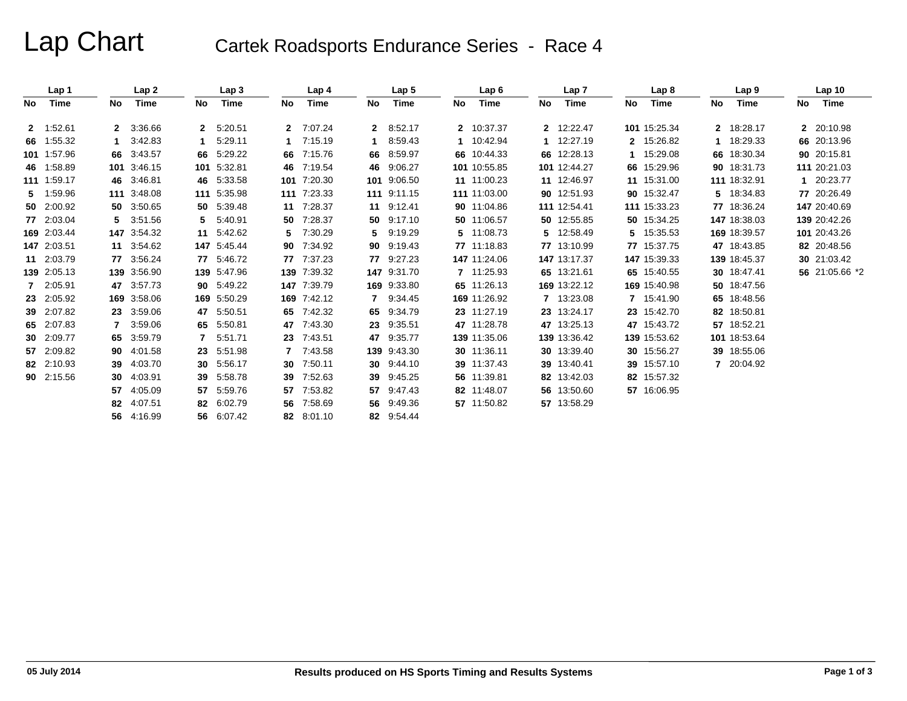# Lap Chart Cartek Roadsports Endurance Series - Race 4

|     | Lap 1       |                 | Lap2        |    | Lap <sub>3</sub> |              | Lap 4       |              | Lap <sub>5</sub> |     | Lap6         |              | Lap 7        |     | Lap <sub>8</sub> |              | Lap <sub>9</sub> |     | Lap <sub>10</sub> |
|-----|-------------|-----------------|-------------|----|------------------|--------------|-------------|--------------|------------------|-----|--------------|--------------|--------------|-----|------------------|--------------|------------------|-----|-------------------|
| No. | Time        | No              | Time        | No | Time             | No.          | Time        | No.          | Time             | No. | Time         | No           | Time         | No. | Time             | No.          | Time             | No. | Time              |
|     | 2 1:52.61   |                 | 2 3:36.66   | 2  | 5:20.51          | $\mathbf{2}$ | 7:07.24     | $\mathbf{2}$ | 8:52.17          |     | 2 10:37.37   |              | 2 12:22.47   |     | 101 15:25.34     | $\mathbf{2}$ | 18:28.17         |     | 2 20:10.98        |
|     | 66 1:55.32  |                 | 3:42.83     |    | 5:29.11          |              | 7:15.19     | 1.           | 8:59.43          |     | 1 10:42.94   | $\mathbf{1}$ | 12:27.19     |     | 2 15:26.82       |              | 18:29.33         |     | 66 20:13.96       |
|     | 101 1:57.96 |                 | 66 3:43.57  | 66 | 5:29.22          | 66           | 7:15.76     |              | 66 8:59.97       |     | 66 10:44.33  |              | 66 12:28.13  |     | 15:29.08         |              | 66 18:30.34      |     | 90 20:15.81       |
|     | 46 1:58.89  |                 | 101 3:46.15 |    | 101 5:32.81      | 46           | 7:19.54     |              | 46 9:06.27       |     | 101 10:55.85 |              | 101 12:44.27 |     | 66 15:29.96      |              | 90 18:31.73      |     | 111 20:21.03      |
|     | 111 1:59.17 |                 | 46 3:46.81  |    | 46 5:33.58       | 101          | 7:20.30     |              | 101 9:06.50      |     | 11 11:00.23  |              | 11 12:46.97  |     | 11 15:31.00      |              | 111 18:32.91     |     | 1 20:23.77        |
|     | 5 1:59.96   |                 | 111 3:48.08 |    | 111 5:35.98      |              | 111 7:23.33 |              | 111 9:11.15      |     | 111 11:03.00 |              | 90 12:51.93  |     | 90 15:32.47      | 5.           | 18:34.83         |     | 77 20:26.49       |
|     | 50 2:00.92  |                 | 50 3:50.65  |    | 50 5:39.48       | 11           | 7:28.37     |              | 11 9:12.41       |     | 90 11:04.86  |              | 111 12:54.41 |     | 111 15:33.23     |              | 77 18:36.24      |     | 147 20:40.69      |
|     | 77 2:03.04  |                 | 5 3:51.56   | 5. | 5:40.91          | 50           | 7:28.37     |              | 50 9:17.10       |     | 50 11:06.57  |              | 50 12:55.85  |     | 50 15:34.25      |              | 147 18:38.03     |     | 139 20:42.26      |
|     | 169 2:03.44 |                 | 147 3:54.32 |    | 11 5:42.62       | 5.           | 7:30.29     | 5.           | 9:19.29          |     | 5 11:08.73   |              | 5 12:58.49   |     | 5 15:35.53       |              | 169 18:39.57     |     | 101 20:43.26      |
|     | 147 2:03.51 |                 | 11 3:54.62  |    | 147 5:45.44      | 90           | 7:34.92     |              | 90 9:19.43       |     | 77 11:18.83  |              | 77 13:10.99  |     | 77 15:37.75      |              | 47 18:43.85      |     | 82 20:48.56       |
|     | 11 2:03.79  |                 | 77 3:56.24  |    | 77 5:46.72       |              | 77 7:37.23  |              | 77 9:27.23       |     | 147 11:24.06 |              | 147 13:17.37 |     | 147 15:39.33     |              | 139 18:45.37     |     | 30 21:03.42       |
|     | 139 2:05.13 |                 | 139 3:56.90 |    | 139 5:47.96      |              | 139 7:39.32 |              | 147 9:31.70      |     | 7 11:25.93   |              | 65 13:21.61  |     | 65 15:40.55      |              | 30 18:47.41      |     | 56 21:05.66 *2    |
|     | 7 2:05.91   |                 | 47 3:57.73  |    | 90 5:49.22       |              | 147 7:39.79 |              | 169 9:33.80      |     | 65 11:26.13  |              | 169 13:22.12 |     | 169 15:40.98     |              | 50 18:47.56      |     |                   |
|     | 23 2:05.92  |                 | 169 3:58.06 |    | 169 5:50.29      | 169          | 7:42.12     | 7            | 9:34.45          |     | 169 11:26.92 |              | 7 13:23.08   |     | 7 15:41.90       |              | 65 18:48.56      |     |                   |
|     | 39 2:07.82  |                 | 23 3:59.06  | 47 | 5:50.51          | 65           | 7:42.32     | 65           | 9:34.79          |     | 23 11:27.19  |              | 23 13:24.17  |     | 23 15:42.70      |              | 82 18:50.81      |     |                   |
|     | 65 2:07.83  | $\overline{7}$  | 3:59.06     | 65 | 5:50.81          | 47           | 7:43.30     | 23           | 9:35.51          |     | 47 11:28.78  |              | 47 13:25.13  |     | 47 15:43.72      |              | 57 18:52.21      |     |                   |
|     | 30 2:09.77  |                 | 65 3:59.79  |    | 5:51.71          | 23           | 7:43.51     |              | 47 9:35.77       |     | 139 11:35.06 |              | 139 13:36.42 |     | 139 15:53.62     |              | 101 18:53.64     |     |                   |
|     | 57 2:09.82  |                 | 90 4:01.58  | 23 | 5:51.98          | 7            | 7:43.58     |              | 139 9:43.30      |     | 30 11:36.11  |              | 30 13:39.40  |     | 30 15:56.27      |              | 39 18:55.06      |     |                   |
|     | 82 2:10.93  |                 | 39 4:03.70  | 30 | 5:56.17          | 30           | 7:50.11     |              | 30 9:44.10       |     | 39 11:37.43  |              | 39 13:40.41  |     | 39 15:57.10      |              | 7 20:04.92       |     |                   |
|     | 90 2:15.56  | 30 <sup>°</sup> | 4:03.91     | 39 | 5:58.78          | 39           | 7:52.63     | 39           | 9:45.25          |     | 56 11:39.81  |              | 82 13:42.03  |     | 82 15:57.32      |              |                  |     |                   |
|     |             | 57              | 4:05.09     | 57 | 5:59.76          | 57           | 7:53.82     |              | 57 9:47.43       |     | 82 11:48.07  |              | 56 13:50.60  |     | 57 16:06.95      |              |                  |     |                   |
|     |             | 82              | 4:07.51     |    | 82 6:02.79       | 56           | 7:58.69     |              | 56 9:49.36       |     | 57 11:50.82  |              | 57 13:58.29  |     |                  |              |                  |     |                   |
|     |             |                 | 56 4:16.99  | 56 | 6:07.42          | 82           | 8:01.10     |              | 82 9:54.44       |     |              |              |              |     |                  |              |                  |     |                   |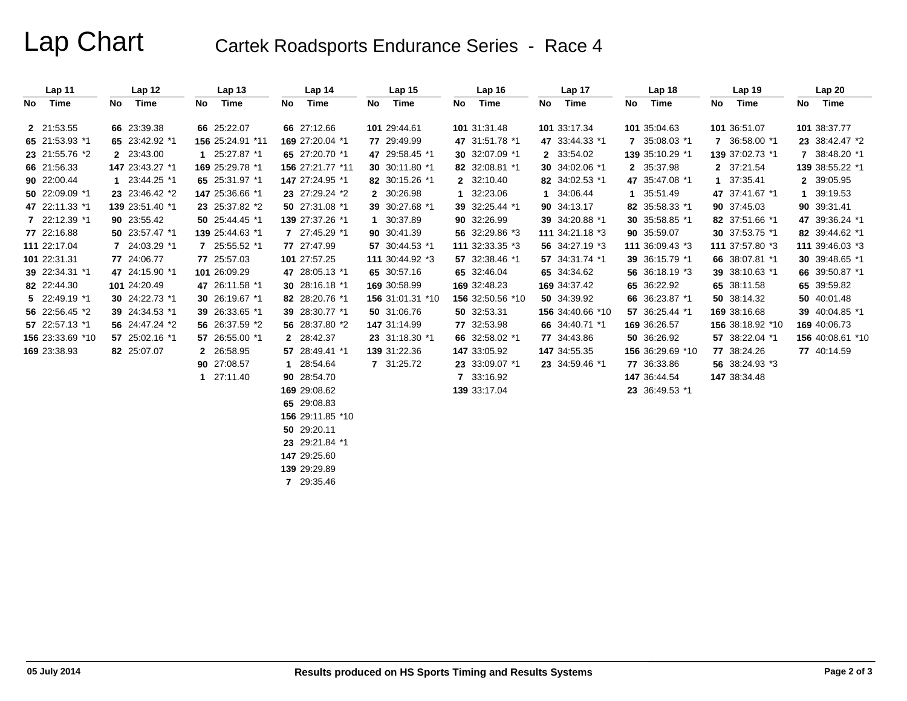## Lap Chart Cartek Roadsports Endurance Series - Race 4

| Lap 11           |    | Lap 12          |    | Lap <sub>13</sub> |    | Lap 14           |              | Lap 15           |    | Lap 16           |    | Lap 17           |    | Lap 18           |             | Lap 19           |    | Lap20            |
|------------------|----|-----------------|----|-------------------|----|------------------|--------------|------------------|----|------------------|----|------------------|----|------------------|-------------|------------------|----|------------------|
| No Time          | No | Time            | No | Time              | No | Time             | No           | Time             | No | Time             | No | Time             | No | Time             | No          | Time             | No | Time             |
| 2 21:53.55       |    | 66 23:39.38     |    | 66 25:22.07       |    | 66 27:12.66      |              | 101 29:44.61     |    | 101 31:31.48     |    | 101 33:17.34     |    | 101 35:04.63     |             | 101 36:51.07     |    | 101 38:37.77     |
| 65 21:53.93 *1   |    | 65 23:42.92 *1  |    | 156 25:24.91 *11  |    | 169 27:20.04 *1  |              | 77 29:49.99      |    | 47 31:51.78 *1   |    | 47 33:44.33 *1   |    | 7 35:08.03 *1    |             | 7 36:58.00 *1    |    | 23 38:42.47 *2   |
| 23 21:55.76 *2   |    | 2 23:43.00      |    | 1 25:27.87 *1     |    | 65 27:20.70 *1   |              | 47 29:58.45 *1   |    | 30 32:07.09 *1   |    | 2 33:54.02       |    | 139 35:10.29 *1  |             | 139 37:02.73 *1  |    | 7 38:48.20 *1    |
| 66 21:56.33      |    | 147 23:43.27 *1 |    | 169 25:29.78 *1   |    | 156 27:21.77 *11 |              | 30 30:11.80 *1   |    | 82 32:08.81 *1   |    | 30 34:02.06 *1   |    | 2 35:37.98       |             | 2 37:21.54       |    | 139 38:55.22 *1  |
| 90 22:00.44      |    | 1 23:44.25 *1   |    | 65 25:31.97 *1    |    | 147 27:24.95 *1  |              | 82 30:15.26 *1   |    | 2 32:10.40       |    | 82 34:02.53 *1   |    | 47 35:47.08 *1   | $\mathbf 1$ | 37:35.41         |    | 2 39:05.95       |
| 50 22:09.09 *1   |    | 23 23:46.42 *2  |    | 147 25:36.66 *1   |    | 23 27:29.24 *2   |              | 2 30:26.98       |    | 1 32:23.06       |    | 1 34:06.44       |    | 1 35:51.49       |             | 47 37:41.67 *1   | 1. | 39:19.53         |
| 47 22:11.33 *1   |    | 139 23:51.40 *1 |    | 23 25:37.82 *2    |    | 50 27:31.08 *1   |              | 39 30:27.68 *1   |    | 39 32:25.44 *1   |    | 90 34:13.17      |    | 82 35:58.33 *1   |             | 90 37:45.03      |    | 90 39:31.41      |
| 7 22:12.39 *1    |    | 90 23:55.42     |    | 50 25:44.45 *1    |    | 139 27:37.26 *1  | $\mathbf{1}$ | 30:37.89         |    | 90 32:26.99      |    | 39 34:20.88 *1   |    | 30 35:58.85 *1   |             | 82 37:51.66 *1   |    | 47 39:36.24 *1   |
| 77 22:16.88      |    | 50 23:57.47 *1  |    | 139 25:44.63 *1   |    | 7 27:45.29 *1    |              | 90 30:41.39      |    | 56 32:29.86 *3   |    | 111 34:21.18 *3  |    | 90 35:59.07      |             | 30 37:53.75 *1   |    | 82 39:44.62 *1   |
| 111 22:17.04     |    | 7 24:03.29 *1   |    | 7 25:55.52 *1     |    | 77 27:47.99      |              | 57 30:44.53 *1   |    | 111 32:33.35 *3  |    | 56 34:27.19 *3   |    | 111 36:09.43 *3  |             | 111 37:57.80 *3  |    | 111 39:46.03 *3  |
| 101 22:31.31     |    | 77 24:06.77     |    | 77 25:57.03       |    | 101 27:57.25     |              | 111 30:44.92 *3  |    | 57 32:38.46 *1   |    | 57 34:31.74 *1   |    | 39 36:15.79 *1   |             | 66 38:07.81 *1   |    | 30 39:48.65 *1   |
| 39 22:34.31 *1   |    | 47 24:15.90 *1  |    | 101 26:09.29      |    | 47 28:05.13 *1   |              | 65 30:57.16      |    | 65 32:46.04      |    | 65 34:34.62      |    | 56 36:18.19 *3   |             | 39 38:10.63 *1   |    | 66 39:50.87 *1   |
| 82 22:44.30      |    | 101 24:20.49    |    | 47 26:11.58 *1    |    | 30 28:16.18 *1   |              | 169 30:58.99     |    | 169 32:48.23     |    | 169 34:37.42     |    | 65 36:22.92      |             | 65 38:11.58      |    | 65 39:59.82      |
| 5 22:49.19 *1    |    | 30 24:22.73 *1  |    | 30 26:19.67 *1    |    | 82 28:20.76 *1   |              | 156 31:01.31 *10 |    | 156 32:50.56 *10 |    | 50 34:39.92      |    | 66 36:23.87 *1   |             | 50 38:14.32      |    | 50 40:01.48      |
| 56 22:56.45 *2   |    | 39 24:34.53 *1  |    | 39 26:33.65 *1    |    | 39 28:30.77 *1   |              | 50 31:06.76      |    | 50 32:53.31      |    | 156 34:40.66 *10 |    | 57 36:25.44 *1   |             | 169 38:16.68     |    | 39 40:04.85 *1   |
| 57 22:57.13 *1   |    | 56 24:47.24 *2  |    | 56 26:37.59 *2    |    | 56 28:37.80 *2   |              | 147 31:14.99     |    | 77 32:53.98      |    | 66 34:40.71 *1   |    | 169 36:26.57     |             | 156 38:18.92 *10 |    | 169 40:06.73     |
| 156 23:33.69 *10 |    | 57 25:02.16 *1  |    | 57 26:55.00 *1    |    | 2 28:42.37       |              | 23 31:18.30 *1   |    | 66 32:58.02 *1   |    | 77 34:43.86      |    | 50 36:26.92      |             | 57 38:22.04 *1   |    | 156 40:08.61 *10 |
| 169 23:38.93     |    | 82 25:07.07     |    | 2 26:58.95        |    | 57 28:49.41 *1   |              | 139 31:22.36     |    | 147 33:05.92     |    | 147 34:55.35     |    | 156 36:29.69 *10 |             | 77 38:24.26      |    | 77 40:14.59      |
|                  |    |                 |    | 90 27:08.57       |    | 1 28:54.64       |              | 7 31:25.72       |    | 23 33:09.07 *1   |    | 23 34:59.46 *1   |    | 77 36:33.86      |             | 56 38:24.93 *3   |    |                  |
|                  |    |                 |    | 1 27:11.40        |    | 90 28:54.70      |              |                  |    | 7 33:16.92       |    |                  |    | 147 36:44.54     |             | 147 38:34.48     |    |                  |
|                  |    |                 |    |                   |    | 169 29:08.62     |              |                  |    | 139 33:17.04     |    |                  |    | 23 36:49.53 *1   |             |                  |    |                  |
|                  |    |                 |    |                   |    | 65 29:08.83      |              |                  |    |                  |    |                  |    |                  |             |                  |    |                  |
|                  |    |                 |    |                   |    | 156 29:11.85 *10 |              |                  |    |                  |    |                  |    |                  |             |                  |    |                  |
|                  |    |                 |    |                   |    | 50 29:20.11      |              |                  |    |                  |    |                  |    |                  |             |                  |    |                  |
|                  |    |                 |    |                   |    | 23 29:21.84 *1   |              |                  |    |                  |    |                  |    |                  |             |                  |    |                  |
|                  |    |                 |    |                   |    | 147 29:25.60     |              |                  |    |                  |    |                  |    |                  |             |                  |    |                  |
|                  |    |                 |    |                   |    | 139 29:29.89     |              |                  |    |                  |    |                  |    |                  |             |                  |    |                  |
|                  |    |                 |    |                   |    |                  |              |                  |    |                  |    |                  |    |                  |             |                  |    |                  |

**7** 29:35.46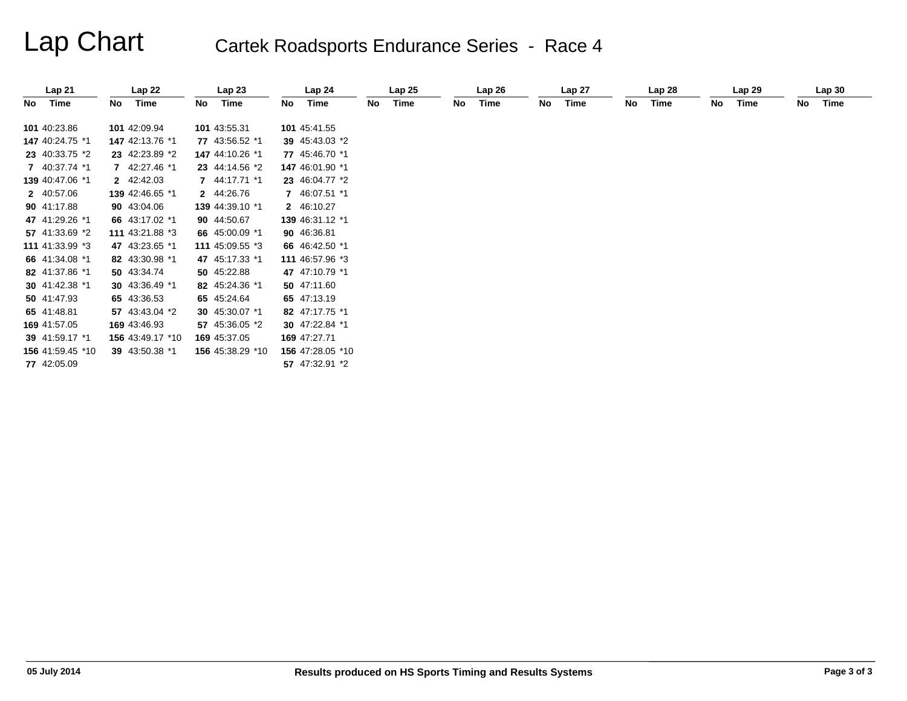# Lap Chart Cartek Roadsports Endurance Series - Race 4

| Lap 21           |    | Lap22            |    | Lap23            |    | Lap 24           |    | Lap25 |    | Lap26 |    | Lap 27 |    | Lap <sub>28</sub> |    | Lap29 |    | Lap30 |
|------------------|----|------------------|----|------------------|----|------------------|----|-------|----|-------|----|--------|----|-------------------|----|-------|----|-------|
| No Time          | No | Time             | No | Time             | No | Time             | No | Time  | No | Time  | No | Time   | No | Time              | No | Time  | No | Time  |
| 101 40:23.86     |    | 101 42:09.94     |    | 101 43:55.31     |    | 101 45:41.55     |    |       |    |       |    |        |    |                   |    |       |    |       |
| 147 40:24.75 *1  |    | 147 42:13.76 *1  |    | 77 43:56.52 *1   |    | 39 45:43.03 *2   |    |       |    |       |    |        |    |                   |    |       |    |       |
| 23 40:33.75 *2   |    | 23 42:23.89 *2   |    | 147 44:10.26 *1  |    | 77 45:46.70 *1   |    |       |    |       |    |        |    |                   |    |       |    |       |
| 7 40:37.74 *1    |    | 7 42:27.46 *1    |    | 23 44:14.56 *2   |    | 147 46:01.90 *1  |    |       |    |       |    |        |    |                   |    |       |    |       |
| 139 40:47.06 *1  |    | 2 42:42.03       |    | 7 44:17.71 *1    |    | 23 46:04.77 *2   |    |       |    |       |    |        |    |                   |    |       |    |       |
| 2 40:57.06       |    | 139 42:46.65 *1  |    | 2 44:26.76       |    | 7 46:07.51 *1    |    |       |    |       |    |        |    |                   |    |       |    |       |
| 90 41:17.88      |    | 90 43:04.06      |    | 139 44:39.10 *1  |    | 2 46:10.27       |    |       |    |       |    |        |    |                   |    |       |    |       |
| 47 41:29.26 *1   |    | 66 43:17.02 *1   |    | 90 44:50.67      |    | 139 46:31.12 *1  |    |       |    |       |    |        |    |                   |    |       |    |       |
| 57 41:33.69 *2   |    | 111 43:21.88 *3  |    | 66 45:00.09 *1   |    | 90 46:36.81      |    |       |    |       |    |        |    |                   |    |       |    |       |
| 111 41:33.99 *3  |    | 47 43:23.65 *1   |    | 111 45:09.55 *3  |    | 66 46:42.50 *1   |    |       |    |       |    |        |    |                   |    |       |    |       |
| 66 41:34.08 *1   |    | 82 43:30.98 *1   |    | 47 45:17.33 *1   |    | 111 46:57.96 *3  |    |       |    |       |    |        |    |                   |    |       |    |       |
| 82 41:37.86 *1   |    | 50 43:34.74      |    | 50 45:22.88      |    | 47 47:10.79 *1   |    |       |    |       |    |        |    |                   |    |       |    |       |
| 30 41:42.38 *1   |    | 30 43:36.49 *1   |    | 82 45:24.36 *1   |    | 50 47:11.60      |    |       |    |       |    |        |    |                   |    |       |    |       |
| 50 41:47.93      |    | 65 43:36.53      |    | 65 45:24.64      |    | 65 47:13.19      |    |       |    |       |    |        |    |                   |    |       |    |       |
| 65 41:48.81      |    | 57 43:43.04 *2   |    | 30 45:30.07 *1   |    | 82 47:17.75 *1   |    |       |    |       |    |        |    |                   |    |       |    |       |
| 169 41:57.05     |    | 169 43:46.93     |    | 57 45:36.05 *2   |    | 30 47:22.84 *1   |    |       |    |       |    |        |    |                   |    |       |    |       |
| 39 41:59.17 *1   |    | 156 43:49.17 *10 |    | 169 45:37.05     |    | 169 47:27.71     |    |       |    |       |    |        |    |                   |    |       |    |       |
| 156 41:59.45 *10 |    | 39 43:50.38 *1   |    | 156 45:38.29 *10 |    | 156 47:28.05 *10 |    |       |    |       |    |        |    |                   |    |       |    |       |
| 77 42:05.09      |    |                  |    |                  |    | 57 47:32.91 *2   |    |       |    |       |    |        |    |                   |    |       |    |       |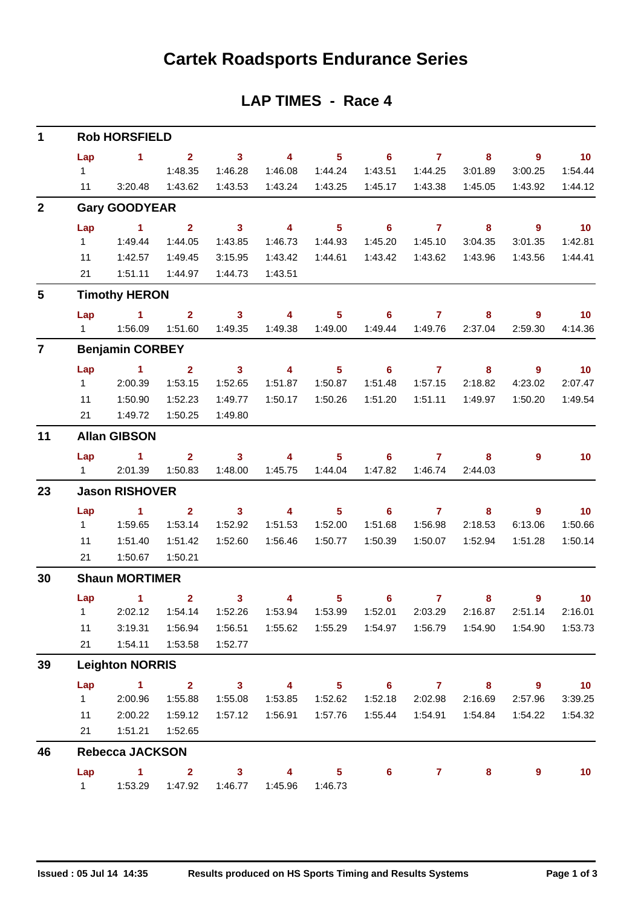## **Cartek Roadsports Endurance Series**

| $\mathbf{1}$    | <b>Rob HORSFIELD</b> |                        |                                    |                            |                         |                            |                            |                    |                    |                            |                            |  |  |  |
|-----------------|----------------------|------------------------|------------------------------------|----------------------------|-------------------------|----------------------------|----------------------------|--------------------|--------------------|----------------------------|----------------------------|--|--|--|
|                 | Lap                  | $\blacksquare$         | $\overline{\mathbf{2}}$            | $\overline{\phantom{a}}$ 3 | $\overline{4}$          | $\overline{\phantom{1}}$ 5 | $\overline{\phantom{a}}$ 6 | $\overline{7}$     | 8                  | $\overline{\phantom{a}}$ 9 | $\overline{10}$            |  |  |  |
|                 | $1 \quad$            |                        | 1:48.35                            | 1:46.28                    | 1:46.08                 | 1:44.24                    | 1:43.51                    | 1:44.25            | 3:01.89            | 3:00.25                    | 1:54.44                    |  |  |  |
|                 | 11                   | 3:20.48                | 1:43.62                            | 1:43.53                    | 1:43.24                 | 1:43.25                    | 1:45.17                    | 1:43.38            | 1:45.05            | 1:43.92                    | 1:44.12                    |  |  |  |
| $\overline{2}$  |                      | <b>Gary GOODYEAR</b>   |                                    |                            |                         |                            |                            |                    |                    |                            |                            |  |  |  |
|                 | Lap                  | $\sim$ 1               | $\overline{2}$                     | $\overline{\phantom{a}}$ 3 | $\overline{4}$          | 5 <sup>1</sup>             | $\overline{\phantom{0}}$ 6 | $\overline{7}$     | 8                  | $9^{\circ}$                | $\overline{10}$            |  |  |  |
|                 | $1 -$                | 1:49.44                | 1:44.05                            | 1:43.85                    | 1:46.73                 | 1:44.93                    | 1:45.20                    | 1:45.10            | 3:04.35            | 3:01.35                    | 1:42.81                    |  |  |  |
|                 | 11                   | 1:42.57                | 1:49.45                            | 3:15.95                    | 1:43.42                 | 1:44.61                    | 1:43.42                    | 1:43.62            | 1:43.96            | 1:43.56                    | 1:44.41                    |  |  |  |
|                 | 21                   | 1:51.11                | 1:44.97                            | 1:44.73                    | 1:43.51                 |                            |                            |                    |                    |                            |                            |  |  |  |
| $5\phantom{.0}$ |                      | <b>Timothy HERON</b>   |                                    |                            |                         |                            |                            |                    |                    |                            |                            |  |  |  |
|                 | Lap                  | $\sim$ 1               | $\overline{2}$                     | 3 <sup>1</sup>             | $\overline{4}$          | 5 <sup>5</sup>             | 6                          | $\mathbf{7}$       | 8                  | 9                          | 10 <sub>1</sub>            |  |  |  |
|                 |                      |                        | 1:51.60                            | 1:49.35                    | 1:49.38                 | 1:49.00                    | 1:49.44                    | 1:49.76            | 2:37.04            | 2:59.30                    | 4:14.36                    |  |  |  |
| $\overline{7}$  |                      | <b>Benjamin CORBEY</b> |                                    |                            |                         |                            |                            |                    |                    |                            |                            |  |  |  |
|                 | Lap                  | $\sim$ 1               | $\overline{2}$                     | 3 <sup>2</sup>             | $\overline{\mathbf{4}}$ | 5 <sup>1</sup>             | $\overline{\phantom{0}}$ 6 | $\overline{7}$     | 8                  | $\overline{9}$             | 10                         |  |  |  |
|                 | $1 -$                | 2:00.39                | 1:53.15                            | 1:52.65                    | 1:51.87                 | 1:50.87                    | 1:51.48                    | 1:57.15            | 2:18.82            | 4:23.02                    | 2:07.47                    |  |  |  |
|                 | 11                   | 1:50.90                | 1:52.23                            | 1:49.77                    | 1:50.17                 | 1:50.26                    | 1:51.20                    | 1:51.11            | 1:49.97            | 1:50.20                    | 1:49.54                    |  |  |  |
|                 | 21                   | 1:49.72                | 1:50.25                            | 1:49.80                    |                         |                            |                            |                    |                    |                            |                            |  |  |  |
| 11              | <b>Allan GIBSON</b>  |                        |                                    |                            |                         |                            |                            |                    |                    |                            |                            |  |  |  |
|                 | Lap                  | $\sim$ 1               | 2 <sup>1</sup>                     | 3 <sup>7</sup>             | $\overline{4}$          | 5 <sup>5</sup>             | 6                          | $\mathbf{7}$       | 8                  | 9                          | 10 <sub>1</sub>            |  |  |  |
|                 |                      | 1 2:01.39              | 1:50.83                            | 1:48.00                    | 1:45.75                 | 1:44.04                    | 1:47.82                    | 1:46.74            | 2:44.03            |                            |                            |  |  |  |
| 23              |                      | <b>Jason RISHOVER</b>  |                                    |                            |                         |                            |                            |                    |                    |                            |                            |  |  |  |
|                 | Lap                  | $\sim$ 1               | $\overline{2}$                     | 3 <sup>1</sup>             | $\overline{4}$          | 5 <sup>1</sup>             | $6^{\circ}$                | $\mathbf{7}$       | 8                  | $\overline{9}$             | 10                         |  |  |  |
|                 | $1 \quad$            | 1:59.65                | 1:53.14                            | 1:52.92                    | 1:51.53                 | 1:52.00                    | 1:51.68                    | 1:56.98            | 2:18.53            | 6:13.06                    | 1:50.66                    |  |  |  |
|                 | 11                   | 1:51.40                | 1:51.42                            | 1:52.60                    | 1:56.46                 | 1:50.77                    | 1:50.39                    | 1:50.07            | 1:52.94            | 1:51.28                    | 1:50.14                    |  |  |  |
|                 | 21                   | 1:50.67                | 1:50.21                            |                            |                         |                            |                            |                    |                    |                            |                            |  |  |  |
| 30              |                      | <b>Shaun MORTIMER</b>  |                                    |                            |                         |                            |                            |                    |                    |                            |                            |  |  |  |
|                 |                      | Lap 1                  | $\overline{2}$<br>2:02.12  1:54.14 | $\mathbf{3}$<br>1:52.26    | $\overline{\mathbf{4}}$ | 5                          | 6                          | $\mathbf{7}$       | 8                  | 9                          | 10 <sub>1</sub><br>2:16.01 |  |  |  |
|                 | 1<br>11              | 3:19.31                | 1:56.94                            | 1:56.51                    | 1:53.94<br>1:55.62      | 1:53.99<br>1:55.29         | 1:52.01<br>1:54.97         | 2:03.29<br>1:56.79 | 2:16.87<br>1:54.90 | 2:51.14<br>1:54.90         | 1:53.73                    |  |  |  |
|                 | 21                   | 1:54.11                | 1:53.58                            | 1:52.77                    |                         |                            |                            |                    |                    |                            |                            |  |  |  |
| 39              |                      | <b>Leighton NORRIS</b> |                                    |                            |                         |                            |                            |                    |                    |                            |                            |  |  |  |
|                 | Lap                  | $\overline{1}$         | $\mathbf{2}$                       | $\mathbf{3}$               | 4                       | 5 <sub>5</sub>             | 6                          | $\mathbf{7}$       | 8                  | $\overline{9}$             | 10                         |  |  |  |
|                 | 1                    | 2:00.96                | 1:55.88                            | 1:55.08                    | 1:53.85                 | 1:52.62                    | 1:52.18                    | 2:02.98            | 2:16.69            | 2:57.96                    | 3:39.25                    |  |  |  |
|                 | 11                   | 2:00.22                | 1:59.12                            | 1:57.12                    | 1:56.91                 | 1:57.76                    | 1:55.44                    | 1:54.91            | 1:54.84            | 1:54.22                    | 1:54.32                    |  |  |  |
|                 | 21                   | 1:51.21                | 1:52.65                            |                            |                         |                            |                            |                    |                    |                            |                            |  |  |  |
| 46              |                      | <b>Rebecca JACKSON</b> |                                    |                            |                         |                            |                            |                    |                    |                            |                            |  |  |  |
|                 | Lap                  | $\mathbf{1}$           | $\mathbf{2}$                       | $\mathbf{3}$               | 4                       | 5                          | 6                          | 7                  | 8                  | 9                          | 10                         |  |  |  |
|                 | 1                    | 1:53.29                | 1:47.92                            | 1:46.77                    | 1:45.96                 | 1:46.73                    |                            |                    |                    |                            |                            |  |  |  |

### **LAP TIMES - Race 4**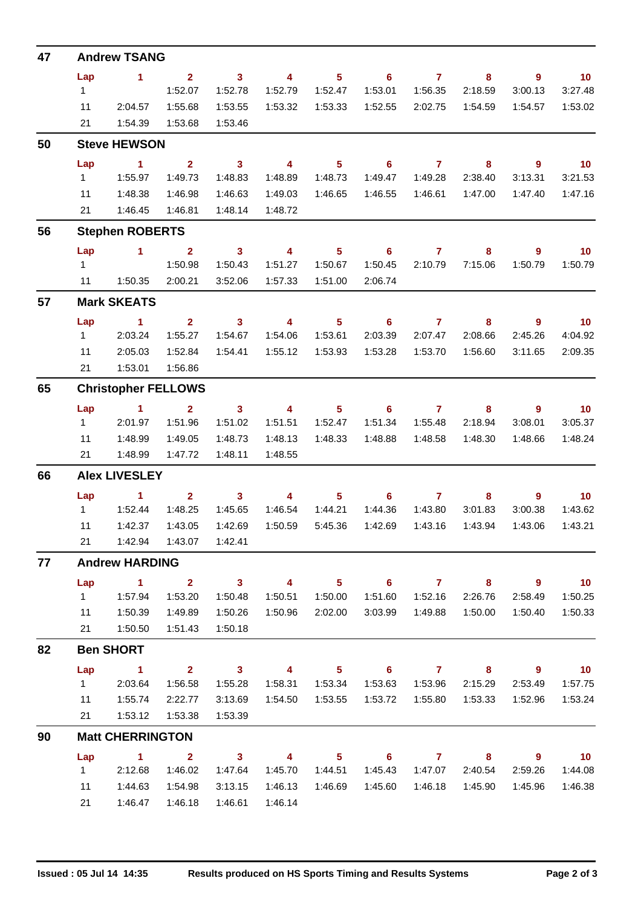| 47 |                       | <b>Andrew TSANG</b>        |                           |                         |                           |                           |                                                                    |                           |                         |                            |                            |
|----|-----------------------|----------------------------|---------------------------|-------------------------|---------------------------|---------------------------|--------------------------------------------------------------------|---------------------------|-------------------------|----------------------------|----------------------------|
|    | Lap                   | $\blacktriangleleft$       | $\overline{2}$            | $\overline{\mathbf{3}}$ | $\overline{4}$            | 5 <sup>5</sup>            | $\overline{\phantom{0}}$ 6                                         | $\mathbf{7}$              | 8                       | $\overline{9}$             | 10                         |
|    | 1                     |                            | 1:52.07                   | 1:52.78                 | 1:52.79                   | 1:52.47                   | 1:53.01                                                            | 1:56.35                   | 2:18.59                 | 3:00.13                    | 3:27.48                    |
|    | 11                    | 2:04.57                    | 1:55.68                   | 1:53.55                 | 1:53.32                   | 1:53.33                   | 1:52.55                                                            | 2:02.75                   | 1:54.59                 | 1:54.57                    | 1:53.02                    |
|    | 21                    | 1:54.39                    | 1:53.68                   | 1:53.46                 |                           |                           |                                                                    |                           |                         |                            |                            |
| 50 |                       | <b>Steve HEWSON</b>        |                           |                         |                           |                           |                                                                    |                           |                         |                            |                            |
|    | Lap                   | $\sim$ 1                   | $2^{\circ}$               | $\overline{\mathbf{3}}$ | $\overline{\mathbf{4}}$   | 5 <sup>5</sup>            | $\overline{\phantom{0}}$ 6                                         | $\overline{7}$            | 8                       | $\overline{9}$             | 10                         |
|    | $1 \quad$             | 1:55.97                    | 1:49.73                   | 1:48.83                 | 1:48.89                   | 1:48.73                   | 1:49.47                                                            | 1:49.28                   | 2:38.40                 | 3:13.31                    | 3:21.53                    |
|    | 11                    | 1:48.38                    | 1:46.98                   | 1:46.63                 | 1:49.03                   | 1:46.65                   | 1:46.55                                                            | 1:46.61                   | 1:47.00                 | 1:47.40                    | 1:47.16                    |
|    | 21                    | 1:46.45                    | 1:46.81                   | 1:48.14                 | 1:48.72                   |                           |                                                                    |                           |                         |                            |                            |
| 56 |                       | <b>Stephen ROBERTS</b>     |                           |                         |                           |                           |                                                                    |                           |                         |                            |                            |
|    | Lap                   | $\sim$ 1                   | 2 <sup>1</sup>            | $\mathbf{3}$            | $\overline{\mathbf{4}}$   | 5 <sub>5</sub>            | 6                                                                  | $\overline{7}$            | 8                       | $\overline{9}$             | 10 <sub>1</sub>            |
|    | $1 \quad$             |                            | 1:50.98                   | 1:50.43                 | 1:51.27                   | 1:50.67                   | 1:50.45                                                            | 2:10.79                   | 7:15.06                 | 1:50.79                    | 1:50.79                    |
|    |                       | 11  1:50.35                | 2:00.21                   | 3:52.06                 | 1:57.33                   | 1:51.00                   | 2:06.74                                                            |                           |                         |                            |                            |
| 57 |                       | <b>Mark SKEATS</b>         |                           |                         |                           |                           |                                                                    |                           |                         |                            |                            |
|    | Lap                   | $\blacktriangleleft$       | 2 <sup>1</sup>            | $\overline{\mathbf{3}}$ | $\overline{\mathbf{4}}$   | 5 <sup>5</sup>            | $\overline{\phantom{0}}$ 6                                         | $\mathbf{7}$              | 8                       | 9                          | $\blacksquare$ 10          |
|    | $1 \quad$             | 2:03.24                    | 1:55.27                   | 1:54.67                 | 1:54.06                   | 1:53.61                   | 2:03.39                                                            | 2:07.47                   | 2:08.66                 | 2:45.26                    | 4:04.92                    |
|    | 11<br>21              | 2:05.03                    | 1:52.84<br>1:56.86        | 1:54.41                 | 1:55.12                   | 1:53.93                   | 1:53.28                                                            | 1:53.70                   | 1:56.60                 | 3:11.65                    | 2:09.35                    |
|    |                       | 1:53.01                    |                           |                         |                           |                           |                                                                    |                           |                         |                            |                            |
| 65 |                       | <b>Christopher FELLOWS</b> |                           |                         |                           |                           |                                                                    |                           |                         |                            |                            |
|    | Lap<br>$1 \quad$      | $\sim$ 1<br>2:01.97        | $\overline{2}$            | 3 <sup>1</sup>          | $\overline{4}$            | 5 <sup>5</sup>            | $\overline{7}$<br>$\overline{\phantom{0}}$ 6<br>1:51.34<br>1:55.48 |                           | 8<br>2:18.94            | $\overline{9}$             | 10                         |
|    | 11                    |                            | 1:51.96                   | 1:51.02<br>1:48.73      | 1:51.51<br>1:48.13        | 1:52.47<br>1:48.33        | 1:48.88                                                            | 1:48.58                   | 1:48.30                 | 3:08.01<br>1:48.66         | 3:05.37<br>1:48.24         |
|    | 21                    | 1:48.99<br>1:48.99         | 1:49.05<br>1:47.72        | 1:48.11                 | 1:48.55                   |                           |                                                                    |                           |                         |                            |                            |
| 66 |                       | <b>Alex LIVESLEY</b>       |                           |                         |                           |                           |                                                                    |                           |                         |                            |                            |
|    |                       |                            |                           |                         |                           |                           |                                                                    |                           |                         |                            |                            |
|    | Lap<br>$1 \quad \Box$ | 1<br>1:52.44               | $\overline{2}$<br>1:48.25 | $\mathbf{3}$<br>1:45.65 | $\overline{4}$<br>1:46.54 | 5 <sup>5</sup><br>1:44.21 | 6<br>1:44.36                                                       | $\overline{7}$<br>1:43.80 | 8<br>3:01.83            | 9<br>3:00.38               | 10 <sub>1</sub><br>1:43.62 |
|    | 11                    | 1:42.37                    | 1:43.05                   | 1:42.69                 | 1:50.59                   | 5:45.36                   | 1:42.69                                                            | 1:43.16                   | 1:43.94                 | 1:43.06                    | 1:43.21                    |
|    | 21                    | 1:42.94                    |                           | 1:43.07  1:42.41        |                           |                           |                                                                    |                           |                         |                            |                            |
| 77 |                       | <b>Andrew HARDING</b>      |                           |                         |                           |                           |                                                                    |                           |                         |                            |                            |
|    | Lap                   | $\sim$ 1                   | $\overline{2}$            | $\overline{\mathbf{3}}$ | $\overline{4}$            | 5 <sub>5</sub>            | $\overline{\phantom{0}}$ 6                                         | $\overline{7}$            | 8                       | $9^{\circ}$                | 10                         |
|    | $1 \quad$             | 1:57.94                    | 1:53.20                   | 1:50.48                 | 1:50.51                   | 1:50.00                   | 1:51.60                                                            | 1:52.16                   | 2:26.76                 | 2:58.49                    | 1:50.25                    |
|    | 11                    | 1:50.39                    | 1:49.89                   | 1:50.26                 | 1:50.96                   | 2:02.00                   | 3:03.99                                                            | 1:49.88                   | 1:50.00                 | 1:50.40                    | 1:50.33                    |
|    | 21                    | 1:50.50                    | 1:51.43                   | 1:50.18                 |                           |                           |                                                                    |                           |                         |                            |                            |
| 82 |                       | <b>Ben SHORT</b>           |                           |                         |                           |                           |                                                                    |                           |                         |                            |                            |
|    | Lap                   | $\sim$ 1                   | $\overline{2}$            | $\overline{\mathbf{3}}$ | $\overline{\mathbf{4}}$   | 5 <sup>1</sup>            | $\overline{\phantom{0}}$ 6                                         | $\overline{7}$            | 8                       | 9                          | $\overline{\mathbf{10}}$   |
|    | 1                     | 2:03.64                    | 1:56.58                   | 1:55.28                 | 1:58.31                   | 1:53.34                   | 1:53.63                                                            | 1:53.96                   | 2:15.29                 | 2:53.49                    | 1:57.75                    |
|    | 11                    | 1:55.74                    | 2:22.77                   | 3:13.69                 |                           | 1:54.50  1:53.55          | 1:53.72                                                            | 1:55.80                   | 1:53.33                 | 1:52.96                    | 1:53.24                    |
|    | 21                    | 1:53.12                    | 1:53.38                   | 1:53.39                 |                           |                           |                                                                    |                           |                         |                            |                            |
| 90 |                       | <b>Matt CHERRINGTON</b>    |                           |                         |                           |                           |                                                                    |                           |                         |                            |                            |
|    | Lap                   | $\blacksquare$             | $\overline{\mathbf{2}}$   | $\overline{\mathbf{3}}$ | $\overline{\mathbf{4}}$   | 5 <sub>5</sub>            |                                                                    | $6 \qquad \qquad 7$       | $\overline{\mathbf{8}}$ | $\overline{\phantom{a}}$ 9 | $\overline{10}$            |
|    | $1 \quad$             | 2:12.68                    | 1:46.02                   | 1:47.64                 | 1:45.70                   | 1:44.51                   | 1:45.43                                                            | 1:47.07                   | 2:40.54                 | 2:59.26                    | 1:44.08                    |
|    | 11                    | 1:44.63                    | 1:54.98                   | 3:13.15                 | 1:46.13                   | 1:46.69                   | 1:45.60                                                            | 1:46.18                   | 1:45.90                 | 1:45.96                    | 1:46.38                    |
|    | 21                    | 1:46.47                    | 1:46.18                   | 1:46.61                 | 1:46.14                   |                           |                                                                    |                           |                         |                            |                            |